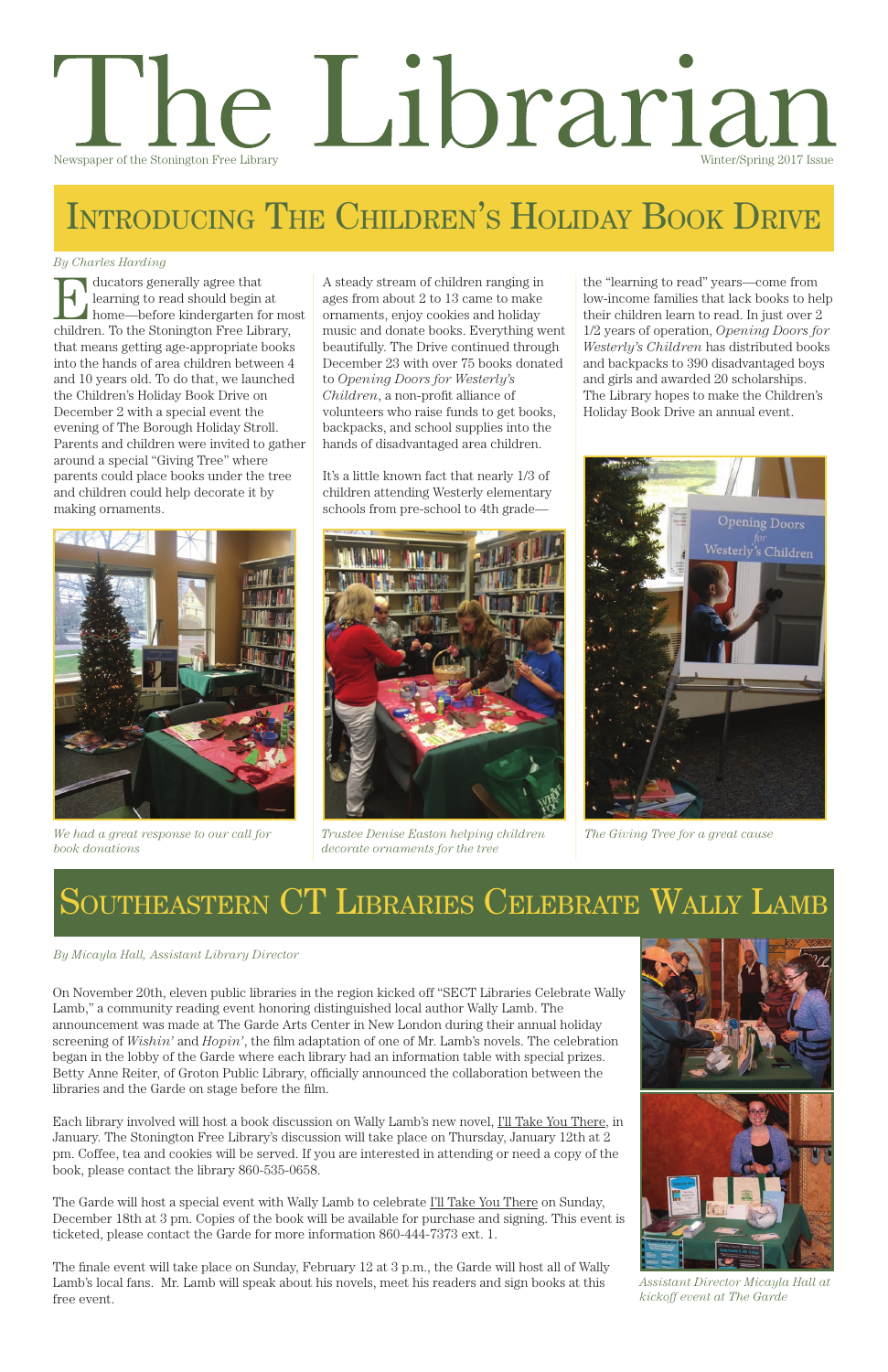Formally agree that<br>
home—before kindergarten for most<br>
children Te the Stephaton Free Library learning to read should begin at children. To the Stonington Free Library, that means getting age-appropriate books into the hands of area children between 4 and 10 years old. To do that, we launched the Children's Holiday Book Drive on December 2 with a special event the evening of The Borough Holiday Stroll. Parents and children were invited to gather around a special "Giving Tree" where parents could place books under the tree and children could help decorate it by making ornaments.

# l'he Librarian Newspaper of the Stonington Free Library Winter/Spring 2017 Issue

# Introducing The Children's Holiday Book Drive

The Garde will host a special event with Wally Lamb to celebrate I'll Take You There on Sunday, December 18th at 3 pm. Copies of the book will be available for purchase and signing. This event is ticketed, please contact the Garde for more information 860-444-7373 ext. 1.

On November 20th, eleven public libraries in the region kicked off "SECT Libraries Celebrate Wally Lamb," a community reading event honoring distinguished local author Wally Lamb. The announcement was made at The Garde Arts Center in New London during their annual holiday screening of *Wishin'* and *Hopin'*, the film adaptation of one of Mr. Lamb's novels. The celebration began in the lobby of the Garde where each library had an information table with special prizes. Betty Anne Reiter, of Groton Public Library, officially announced the collaboration between the libraries and the Garde on stage before the film.



Each library involved will host a book discussion on Wally Lamb's new novel, I'll Take You There, in January. The Stonington Free Library's discussion will take place on Thursday, January 12th at 2 pm. Coffee, tea and cookies will be served. If you are interested in attending or need a copy of the book, please contact the library 860-535-0658.

The finale event will take place on Sunday, February 12 at 3 p.m., the Garde will host all of Wally Lamb's local fans. Mr. Lamb will speak about his novels, meet his readers and sign books at this free event.

A steady stream of children ranging in ages from about 2 to 13 came to make ornaments, enjoy cookies and holiday music and donate books. Everything went beautifully. The Drive continued through December 23 with over 75 books donated to *Opening Doors for Westerly's Children*, a non-profit alliance of volunteers who raise funds to get books, backpacks, and school supplies into the hands of disadvantaged area children.

It's a little known fact that nearly 1/3 of children attending Westerly elementary schools from pre-school to 4th gradethe "learning to read" years—come from low-income families that lack books to help their children learn to read. In just over 2 1/2 years of operation, *Opening Doors for Westerly's Children* has distributed books and backpacks to 390 disadvantaged boys and girls and awarded 20 scholarships. The Library hopes to make the Children's Holiday Book Drive an annual event.

### *By Charles Harding*

# Southeastern CT Libraries Celebrate Wally Lamb



*We had a great response to our call for book donations*



*Trustee Denise Easton helping children decorate ornaments for the tree*



*The Giving Tree for a great cause*

#### *By Micayla Hall, Assistant Library Director*

*Assistant Director Micayla Hall at kickoff event at The Garde*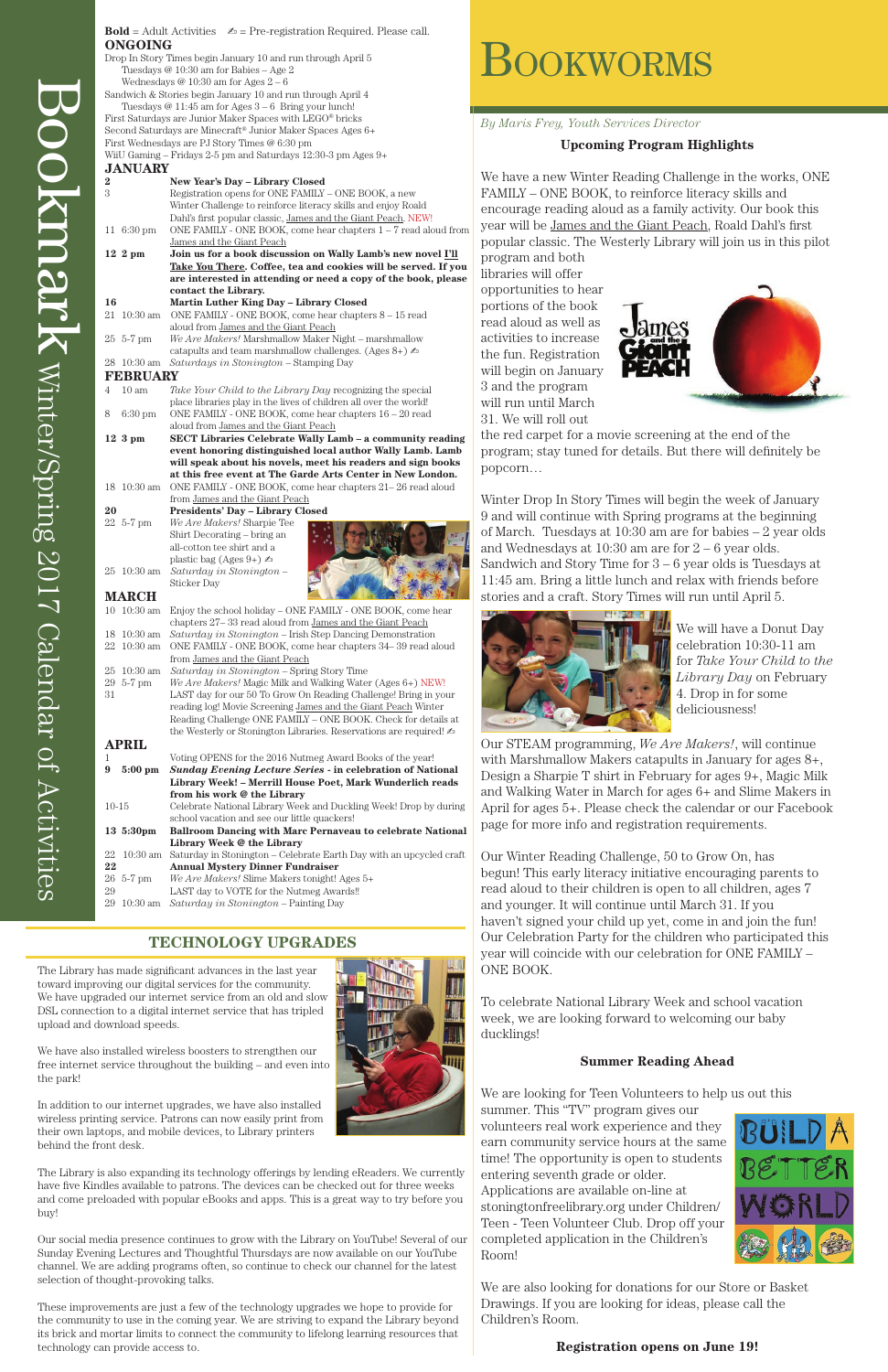*By Maris Frey, Youth Services Director*

#### **Upcoming Program Highlights**

We have a new Winter Reading Challenge in the works, ONE FAMILY – ONE BOOK, to reinforce literacy skills and encourage reading aloud as a family activity. Our book this year will be James and the Giant Peach, Roald Dahl's first popular classic. The Westerly Library will join us in this pilot

program and both libraries will offer opportunities to hear portions of the book read aloud as well as activities to increase the fun. Registration will begin on January 3 and the program will run until March 31. We will roll out



the red carpet for a movie screening at the end of the program; stay tuned for details. But there will definitely be popcorn…

Winter Drop In Story Times will begin the week of January 9 and will continue with Spring programs at the beginning of March. Tuesdays at 10:30 am are for babies – 2 year olds and Wednesdays at  $10:30$  am are for  $2-6$  year olds. Sandwich and Story Time for  $3 - 6$  year olds is Tuesdays at 11:45 am. Bring a little lunch and relax with friends before stories and a craft. Story Times will run until April 5.



We will have a Donut Day celebration 10:30-11 am for *Take Your Child to the Library Day* on February 4. Drop in for some deliciousness!

Our STEAM programming, *We Are Makers!*, will continue with Marshmallow Makers catapults in January for ages 8+, Design a Sharpie T shirt in February for ages 9+, Magic Milk and Walking Water in March for ages 6+ and Slime Makers in April for ages 5+. Please check the calendar or our Facebook page for more info and registration requirements.

Our Winter Reading Challenge, 50 to Grow On, has begun! This early literacy initiative encouraging parents to read aloud to their children is open to all children, ages 7 and younger. It will continue until March 31. If you haven't signed your child up yet, come in and join the fun! Our Celebration Party for the children who participated this year will coincide with our celebration for ONE FAMILY – ONE BOOK.

To celebrate National Library Week and school vacation

week, we are looking forward to welcoming our baby ducklings!

#### **Summer Reading Ahead**

We are looking for Teen Volunteers to help us out this summer. This "TV" program gives our volunteers real work experience and they earn community service hours at the same time! The opportunity is open to students entering seventh grade or older. Applications are available on-line at stoningtonfreelibrary.org under Children/ Teen - Teen Volunteer Club. Drop off your completed application in the Children's Room!



We are also looking for donations for our Store or Basket Drawings. If you are looking for ideas, please call the Children's Room.

**Registration opens on June 19!**



| $\bf{2}$         |                      | New Year's Day - Library Closed                                                                                       |
|------------------|----------------------|-----------------------------------------------------------------------------------------------------------------------|
| 3                |                      | Registration opens for ONE FAMILY - ONE BOOK, a new                                                                   |
|                  |                      | Winter Challenge to reinforce literacy skills and enjoy Roald                                                         |
|                  |                      | Dahl's first popular classic, James and the Giant Peach. NEW!                                                         |
|                  | 11 $6:30 \text{ pm}$ | ONE FAMILY - ONE BOOK, come hear chapters 1 - 7 read aloud from                                                       |
|                  |                      | James and the Giant Peach                                                                                             |
|                  | $12\,2 \text{ pm}$   | Join us for a book discussion on Wally Lamb's new novel I'll                                                          |
|                  |                      | Take You There. Coffee, tea and cookies will be served. If you                                                        |
|                  |                      | are interested in attending or need a copy of the book, please                                                        |
|                  |                      | contact the Library.                                                                                                  |
| 16               |                      | Martin Luther King Day - Library Closed                                                                               |
|                  | 21 10:30 am          | ONE FAMILY - ONE BOOK, come hear chapters 8 - 15 read                                                                 |
|                  |                      | aloud from James and the Giant Peach                                                                                  |
|                  | $25\;5-7\;{\rm pm}$  | We Are Makers! Marshmallow Maker Night - marshmallow                                                                  |
|                  |                      | catapults and team marshmallow challenges. (Ages $8+$ ) $\&$                                                          |
|                  | 28 10:30 am          | Saturdays in Stonington - Stamping Day                                                                                |
| <b>FEBRUARY</b>  |                      |                                                                                                                       |
| 4                | $10 \text{ am}$      | Take Your Child to the Library Day recognizing the special                                                            |
|                  |                      | place libraries play in the lives of children all over the world!                                                     |
| 8                | $6:30$ pm            | ONE FAMILY - ONE BOOK, come hear chapters $16 - 20$ read                                                              |
|                  |                      | aloud from James and the Giant Peach                                                                                  |
|                  | $123$ pm             | SECT Libraries Celebrate Wally Lamb - a community reading                                                             |
|                  |                      | event honoring distinguished local author Wally Lamb. Lamb                                                            |
|                  |                      | will speak about his novels, meet his readers and sign books                                                          |
|                  |                      | at this free event at The Garde Arts Center in New London.                                                            |
|                  | 18 10:30 am          | ONE FAMILY - ONE BOOK, come hear chapters 21–26 read aloud                                                            |
|                  |                      | from James and the Giant Peach                                                                                        |
| 20               |                      | <b>Presidents' Day - Library Closed</b>                                                                               |
|                  | 22 5-7 pm            | We Are Makers! Sharpie Tee                                                                                            |
|                  |                      | Shirt Decorating – bring an                                                                                           |
|                  |                      | all-cotton tee shirt and a                                                                                            |
|                  |                      | plastic bag (Ages 9+) $\blacktriangle$                                                                                |
|                  | 25 10:30 am          | Saturday in Stonington -                                                                                              |
|                  |                      | Sticker Day                                                                                                           |
| <b>MARCH</b>     |                      |                                                                                                                       |
|                  | 10 10:30 am          | Enjoy the school holiday - ONE FAMILY - ONE BOOK, come hear                                                           |
|                  | 18 10:30 am          | chapters 27-33 read aloud from James and the Giant Peach<br>Saturday in Stonington - Irish Step Dancing Demonstration |
|                  | 22 10:30 am          | ONE FAMILY - ONE BOOK, come hear chapters 34-39 read aloud                                                            |
|                  |                      | from James and the Giant Peach                                                                                        |
| 25               | $10:30$ am           | Saturday in Stonington - Spring Story Time                                                                            |
|                  | 29 5-7 pm            | We Are Makers! Magic Milk and Walking Water (Ages 6+) NEW!                                                            |
| 31               |                      | LAST day for our 50 To Grow On Reading Challenge! Bring in your                                                       |
|                  |                      | reading log! Movie Screening James and the Giant Peach Winter                                                         |
|                  |                      | Reading Challenge ONE FAMILY - ONE BOOK. Check for details at                                                         |
|                  |                      | the Westerly or Stonington Libraries. Reservations are required! $\mathbb{Z}$                                         |
|                  | <b>APRIL</b>         |                                                                                                                       |
| 1                |                      | Voting OPENS for the 2016 Nutmeg Award Books of the year!                                                             |
| $\boldsymbol{9}$ | $5:00$ pm            | <b>Sunday Evening Lecture Series - in celebration of National</b>                                                     |
|                  |                      | Library Week! - Merrill House Poet, Mark Wunderlich reads                                                             |
|                  |                      | from his work @ the Library                                                                                           |
| $10-15$          |                      | Celebrate National Library Week and Duckling Week! Drop by during                                                     |
|                  |                      | school vacation and see our little quackers!                                                                          |
|                  | 13 5:30pm            | <b>Ballroom Dancing with Marc Pernaveau to celebrate National</b>                                                     |
|                  |                      | Library Week @ the Library                                                                                            |
| 22               | 10:30 am             | Saturday in Stonington - Celebrate Earth Day with an upcycled craft                                                   |
| 22               |                      | <b>Annual Mystery Dinner Fundraiser</b>                                                                               |
|                  | 26 5-7 pm            | We Are Makers! Slime Makers tonight! Ages 5+                                                                          |
| 29               |                      | LAST day to VOTE for the Nutmeg Awards!!                                                                              |

29 10:30 am *Saturday in Stonington* – Painting Day

### **TECHNOLOGY UPGRADES**

The Library has made significant advances in the last year toward improving our digital services for the community. We have upgraded our internet service from an old and slow DSL connection to a digital internet service that has tripled upload and download speeds.



# **BOOKWORMS**

We have also installed wireless boosters to strengthen our free internet service throughout the building – and even into the park!

In addition to our internet upgrades, we have also installed wireless printing service. Patrons can now easily print from their own laptops, and mobile devices, to Library printers behind the front desk.

The Library is also expanding its technology offerings by lending eReaders. We currently have five Kindles available to patrons. The devices can be checked out for three weeks and come preloaded with popular eBooks and apps. This is a great way to try before you buy!

Our social media presence continues to grow with the Library on YouTube! Several of our Sunday Evening Lectures and Thoughtful Thursdays are now available on our YouTube channel. We are adding programs often, so continue to check our channel for the latest selection of thought-provoking talks.

These improvements are just a few of the technology upgrades we hope to provide for the community to use in the coming year. We are striving to expand the Library beyond its brick and mortar limits to connect the community to lifelong learning resources that technology can provide access to.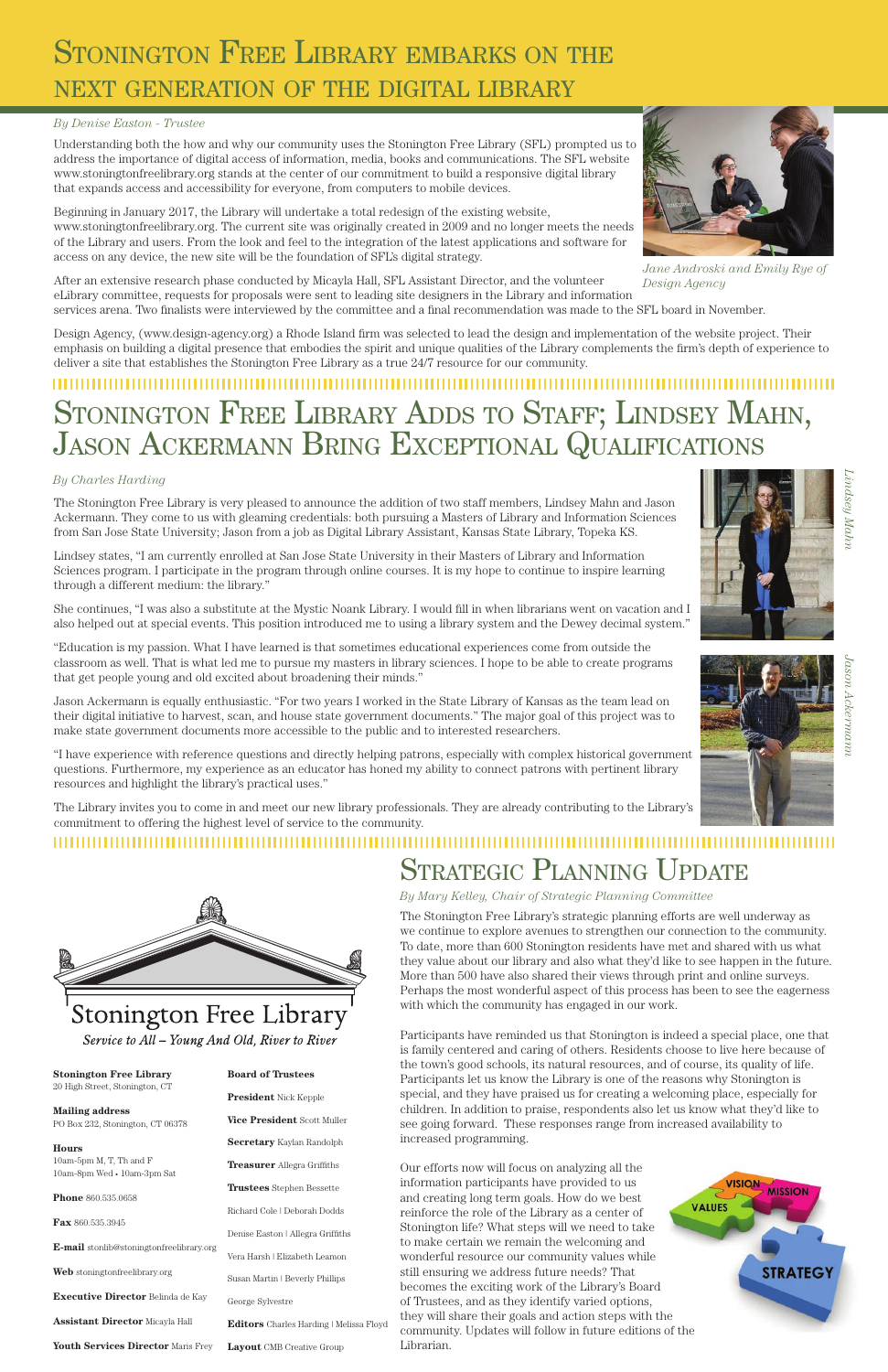## STONINGTON FREE LIBRARY EMBARKS ON THE next generation of the digital library

#### **Stonington Free Library**

20 High Street, Stonington, CT

#### **Mailing address**

PO Box 232, Stonington, CT 06378

#### **Hours**

10am-5pm M, T, Th and F 10am-8pm Wed • 10am-3pm Sat

**Phone** 860.535.0658

**Fax** 860.535.3945

**E-mail** stonlib@stoningtonfreelibrary.org

**Web** stoningtonfreelibrary.org

**Executive Director** Belinda de Kay

**Assistant Director** Micayla Hall

**Youth Services Director** Maris Frey

#### **Board of Trustees**

**President** Nick Kepple

**Vice President** Scott Muller

**Secretary** Kaylan Randolph

**Treasurer** Allegra Griffiths

**Trustees** Stephen Bessette

Richard Cole | Deborah Dodds

Denise Easton | Allegra Griffiths

Vera Harsh | Elizabeth Leamon

Susan Martin | Beverly Phillips

#### George Sylvestre

**Editors** Charles Harding | Melissa Floyd

**Layout** CMB Creative Group

Understanding both the how and why our community uses the Stonington Free Library (SFL) prompted us to address the importance of digital access of information, media, books and communications. The SFL website www.stoningtonfreelibrary.org stands at the center of our commitment to build a responsive digital library that expands access and accessibility for everyone, from computers to mobile devices.

Beginning in January 2017, the Library will undertake a total redesign of the existing website, www.stoningtonfreelibrary.org. The current site was originally created in 2009 and no longer meets the needs of the Library and users. From the look and feel to the integration of the latest applications and software for access on any device, the new site will be the foundation of SFL's digital strategy.

Design Agency, (www.design-agency.org) a Rhode Island firm was selected to lead the design and implementation of the website project. Their emphasis on building a digital presence that embodies the spirit and unique qualities of the Library complements the firm's depth of experience to deliver a site that establishes the Stonington Free Library as a true 24/7 resource for our community.

### STONINGTON FREE LIBRARY ADDS TO STAFF; LINDSEY MAHN, JASON ACKERMANN BRING EXCEPTIONAL QUALIFICATIONS

### *By Denise Easton - Trustee*

The Stonington Free Library is very pleased to announce the addition of two staff members, Lindsey Mahn and Jason Ackermann. They come to us with gleaming credentials: both pursuing a Masters of Library and Information Sciences from San Jose State University; Jason from a job as Digital Library Assistant, Kansas State Library, Topeka KS.

Lindsey states, "I am currently enrolled at San Jose State University in their Masters of Library and Information Sciences program. I participate in the program through online courses. It is my hope to continue to inspire learning through a different medium: the library."

*Lindsey Mahn* indsey Mahn





She continues, "I was also a substitute at the Mystic Noank Library. I would fill in when librarians went on vacation and I also helped out at special events. This position introduced me to using a library system and the Dewey decimal system."

"Education is my passion. What I have learned is that sometimes educational experiences come from outside the classroom as well. That is what led me to pursue my masters in library sciences. I hope to be able to create programs that get people young and old excited about broadening their minds."

Jason Ackermann is equally enthusiastic. "For two years I worked in the State Library of Kansas as the team lead on their digital initiative to harvest, scan, and house state government documents." The major goal of this project was to make state government documents more accessible to the public and to interested researchers.

After an extensive research phase conducted by Micayla Hall, SFL Assistant Director, and the volunteer eLibrary committee, requests for proposals were sent to leading site designers in the Library and information services arena. Two finalists were interviewed by the committee and a final recommendation was made to the SFL board in November. *Design Agency*

"I have experience with reference questions and directly helping patrons, especially with complex historical government questions. Furthermore, my experience as an educator has honed my ability to connect patrons with pertinent library resources and highlight the library's practical uses."

The Library invites you to come in and meet our new library professionals. They are already contributing to the Library's commitment to offering the highest level of service to the community.

#### 

# Strategic Planning Update

The Stonington Free Library's strategic planning efforts are well underway as we continue to explore avenues to strengthen our connection to the community. To date, more than 600 Stonington residents have met and shared with us what they value about our library and also what they'd like to see happen in the future. More than 500 have also shared their views through print and online surveys. Perhaps the most wonderful aspect of this process has been to see the eagerness with which the community has engaged in our work.

Participants have reminded us that Stonington is indeed a special place, one that is family centered and caring of others. Residents choose to live here because of the town's good schools, its natural resources, and of course, its quality of life. Participants let us know the Library is one of the reasons why Stonington is special, and they have praised us for creating a welcoming place, especially for children. In addition to praise, respondents also let us know what they'd like to see going forward. These responses range from increased availability to increased programming.

Our efforts now will focus on analyzing all the information participants have provided to us and creating long term goals. How do we best reinforce the role of the Library as a center of Stonington life? What steps will we need to take to make certain we remain the welcoming and wonderful resource our community values while still ensuring we address future needs? That becomes the exciting work of the Library's Board of Trustees, and as they identify varied options, they will share their goals and action steps with the community. Updates will follow in future editions of the Librarian.







### Stonington Free Library

Service to All - Young And Old, River to River



### *By Charles Harding*

*By Mary Kelley, Chair of Strategic Planning Committee*